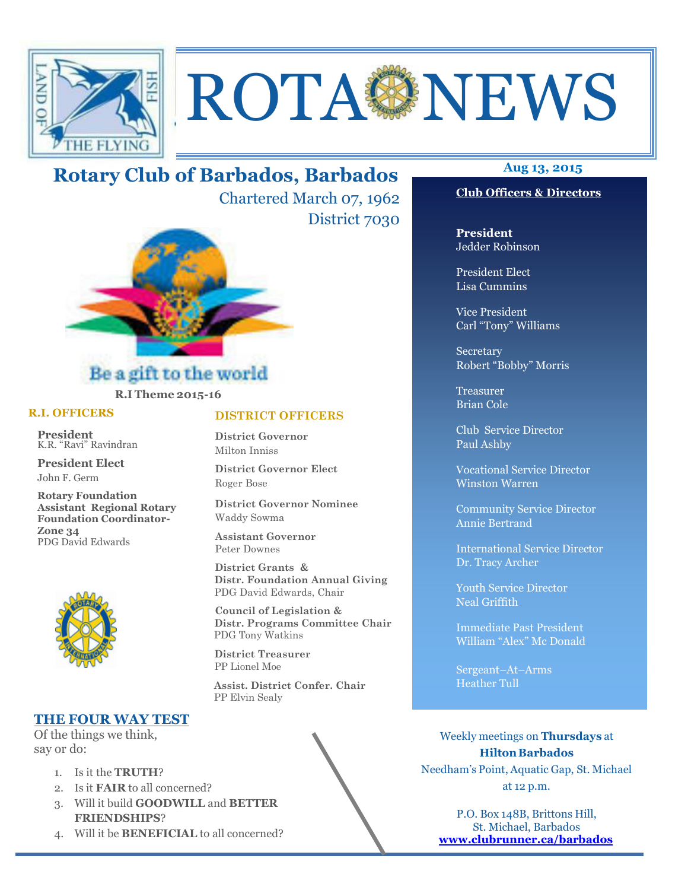

# ROTA NEWS

# **Aug 13, 2015 Rotary Club of Barbados, Barbados**

Chartered March 07, 1962 District 7030



# **R.I Theme 2015-16**

#### **R.I. OFFICERS**

**President** K.R. "Ravi" Ravindran

**President Elect** John F. Germ

**Rotary Foundation Assistant Regional Rotary Foundation Coordinator-Zone 34**  PDG David Edwards



# **THE FOUR WAY TEST**

Of the things we think, say or do:

- 1. Is it the **TRUTH**?
- 2. Is it **FAIR** to all concerned?
- 3. Will it build **GOODWILL** and **BETTER FRIENDSHIPS**?
- 4. Will it be **BENEFICIAL** to all concerned?

# **DISTRICT OFFICERS**

**District Governor** Milton Inniss

**District Governor Elect** Roger Bose

**District Governor Nominee**  Waddy Sowma

**Assistant Governor**  Peter Downes

 **District Grants & Distr. Foundation Annual Giving** PDG David Edwards, Chair

 **Council of Legislation & Distr. Programs Committee Chair** PDG Tony Watkins

 **District Treasurer**  PP Lionel Moe

 **Assist. District Confer. Chair**  PP Elvin Sealy



**President** Jedder Robinson

President Elect Lisa Cummins

Vice President Carl "Tony" Williams

Secretary Robert "Bobby" Morris

Treasurer Brian Cole

Club Service Director Paul Ashby

Vocational Service Director Winston Warren

Community Service Director Annie Bertrand

International Service Director Dr. Tracy Archer

Youth Service Director Neal Griffith

Immediate Past President William "Alex" Mc Donald

Sergeant–At–Arms Heather Tull

Weekly meetings on **Thursdays** at **Hilton Barbados** Needham's Point, Aquatic Gap, St. Michael at 12 p.m.

P.O. Box 148B, Brittons Hill, St. Michael, Barbados **www.clubrunner.ca/barbados**

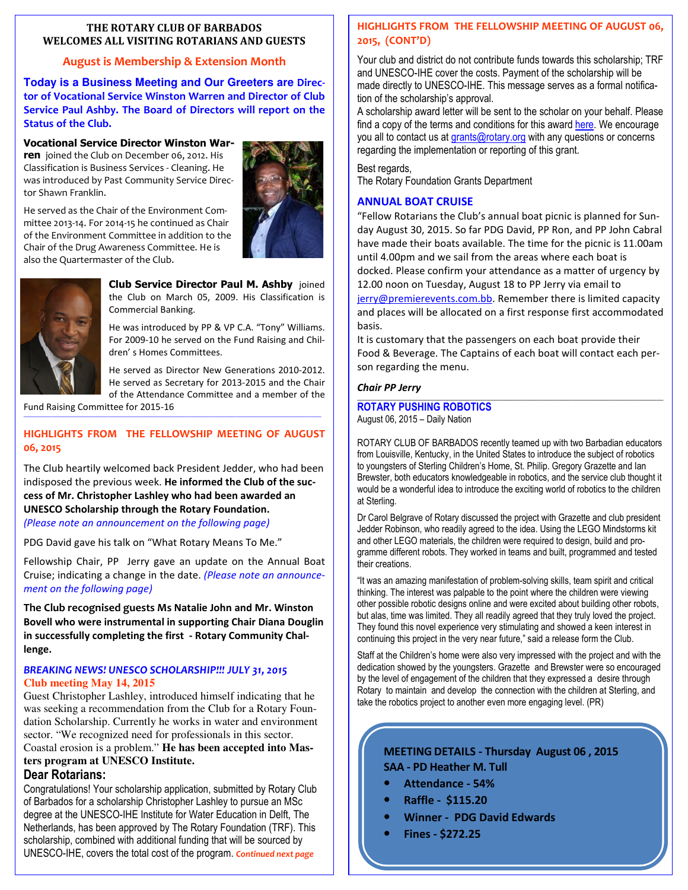#### **THE ROTARY CLUB OF BARBADOS WELCOMES ALL VISITING ROTARIANS AND GUESTS**

# **August is Membership & Extension Month**

**Today is a Business Meeting and Our Greeters are Director of Vocational Service Winston Warren and Director of Club Service Paul Ashby. The Board of Directors will report on the Status of the Club.** 

# **Vocational Service Director Winston War-**

**ren** joined the Club on December 06, 2012. His Classification is Business Services - Cleaning. He was introduced by Past Community Service Director Shawn Franklin.

He served as the Chair of the Environment Committee 2013-14. For 2014-15 he continued as Chair of the Environment Committee in addition to the Chair of the Drug Awareness Committee. He is also the Quartermaster of the Club.





**Club Service Director Paul M. Ashby** joined the Club on March 05, 2009. His Classification is Commercial Banking.

He was introduced by PP & VP C.A. "Tony" Williams. For 2009-10 he served on the Fund Raising and Children' s Homes Committees.

He served as Director New Generations 2010-2012. He served as Secretary for 2013-2015 and the Chair of the Attendance Committee and a member of the

Fund Raising Committee for 2015-16

# **HIGHLIGHTS FROM THE FELLOWSHIP MEETING OF AUGUST 06, 2015**

*—————————————————————————————————————————————————————* 

The Club heartily welcomed back President Jedder, who had been indisposed the previous week. **He informed the Club of the success of Mr. Christopher Lashley who had been awarded an UNESCO Scholarship through the Rotary Foundation.**  *(Please note an announcement on the following page)*

PDG David gave his talk on "What Rotary Means To Me."

Fellowship Chair, PP Jerry gave an update on the Annual Boat Cruise; indicating a change in the date. *(Please note an announcement on the following page)*

**The Club recognised guests Ms Natalie John and Mr. Winston Bovell who were instrumental in supporting Chair Diana Douglin in successfully completing the first - Rotary Community Challenge.**

#### *BREAKING NEWS! UNESCO SCHOLARSHIP!!! JULY 31, 2015*  **Club meeting May 14, 2015**

Guest Christopher Lashley, introduced himself indicating that he was seeking a recommendation from the Club for a Rotary Foundation Scholarship. Currently he works in water and environment sector. "We recognized need for professionals in this sector. Coastal erosion is a problem." **He has been accepted into Masters program at UNESCO Institute.** 

### **Dear Rotarians:**

 UNESCO-IHE, covers the total cost of the program. *Continued next page* Congratulations! Your scholarship application, submitted by Rotary Club of Barbados for a scholarship Christopher Lashley to pursue an MSc degree at the UNESCO-IHE Institute for Water Education in Delft, The Netherlands, has been approved by The Rotary Foundation (TRF). This scholarship, combined with additional funding that will be sourced by

#### **HIGHLIGHTS FROM THE FELLOWSHIP MEETING OF AUGUST 06, 2015, (CONT'D)**

Your club and district do not contribute funds towards this scholarship; TRF and UNESCO-IHE cover the costs. Payment of the scholarship will be made directly to UNESCO-IHE. This message serves as a formal notification of the scholarship's approval.

A scholarship award letter will be sent to the scholar on your behalf. Please find a copy of the terms and conditions for this award here. We encourage you all to contact us at grants@rotary.org with any questions or concerns regarding the implementation or reporting of this grant.

#### Best regards,

The Rotary Foundation Grants Department

#### **ANNUAL BOAT CRUISE**

"Fellow Rotarians the Club's annual boat picnic is planned for Sunday August 30, 2015. So far PDG David, PP Ron, and PP John Cabral have made their boats available. The time for the picnic is 11.00am until 4.00pm and we sail from the areas where each boat is docked. Please confirm your attendance as a matter of urgency by 12.00 noon on Tuesday, August 18 to PP Jerry via email to jerry@premierevents.com.bb. Remember there is limited capacity and places will be allocated on a first response first accommodated basis.

It is customary that the passengers on each boat provide their Food & Beverage. The Captains of each boat will contact each person regarding the menu.

#### *Chair PP Jerry*

#### **\_\_\_\_\_\_\_\_\_\_\_\_\_\_\_\_\_\_\_\_\_\_\_\_\_\_\_\_\_\_\_\_\_\_\_\_\_\_\_\_\_\_\_\_\_\_\_\_\_\_\_\_\_\_\_\_\_\_\_\_\_\_\_\_\_\_\_\_\_\_\_\_\_\_\_\_\_\_\_\_\_\_\_\_\_\_\_\_\_\_\_\_\_\_\_\_\_\_ ROTARY PUSHING ROBOTICS**  August 06, 2015 – Daily Nation

ROTARY CLUB OF BARBADOS recently teamed up with two Barbadian educators from Louisville, Kentucky, in the United States to introduce the subject of robotics to youngsters of Sterling Children's Home, St. Philip. Gregory Grazette and Ian Brewster, both educators knowledgeable in robotics, and the service club thought it would be a wonderful idea to introduce the exciting world of robotics to the children at Sterling.

Dr Carol Belgrave of Rotary discussed the project with Grazette and club president Jedder Robinson, who readily agreed to the idea. Using the LEGO Mindstorms kit and other LEGO materials, the children were required to design, build and programme different robots. They worked in teams and built, programmed and tested their creations.

"It was an amazing manifestation of problem-solving skills, team spirit and critical thinking. The interest was palpable to the point where the children were viewing other possible robotic designs online and were excited about building other robots, but alas, time was limited. They all readily agreed that they truly loved the project. They found this novel experience very stimulating and showed a keen interest in continuing this project in the very near future," said a release form the Club.

Staff at the Children's home were also very impressed with the project and with the dedication showed by the youngsters. Grazette and Brewster were so encouraged by the level of engagement of the children that they expressed a desire through Rotary to maintain and develop the connection with the children at Sterling, and take the robotics project to another even more engaging level. (PR)

# **MEETING DETAILS - Thursday August 06 , 2015 SAA - PD Heather M. Tull**

- **Attendance 54%**
- **Raffle \$115.20**
- **Winner PDG David Edwards**
- **Fines \$272.25**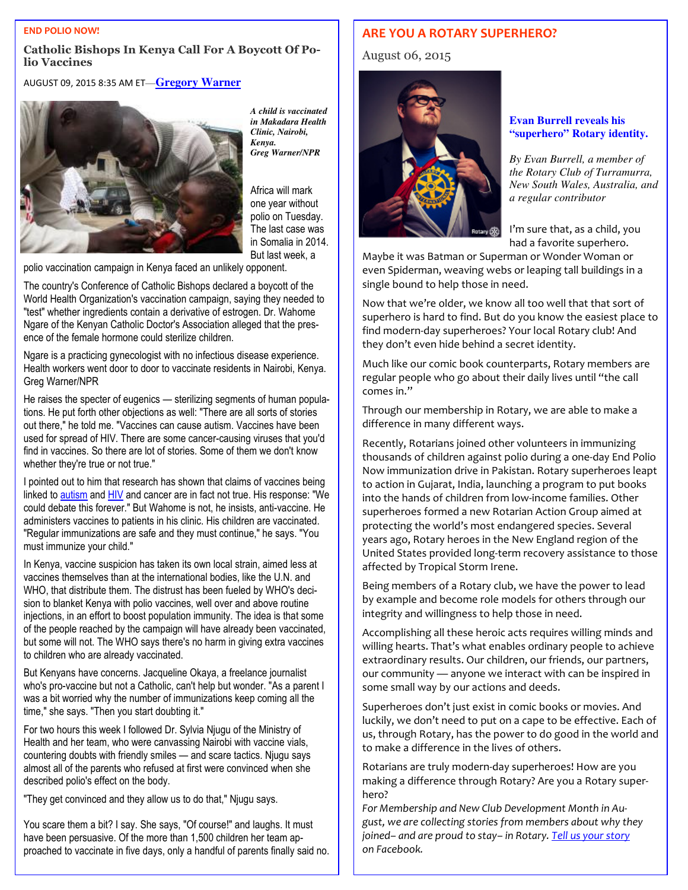#### **END POLIO NOW!**

#### **Catholic Bishops In Kenya Call For A Boycott Of Polio Vaccines**

AUGUST 09, 2015 8:35 AM ET**—Gregory Warner**



*A child is vaccinated in Makadara Health Clinic, Nairobi, Kenya. Greg Warner/NPR* 

Africa will mark one year without polio on Tuesday. The last case was in Somalia in 2014. But last week, a

polio vaccination campaign in Kenya faced an unlikely opponent.

The country's Conference of Catholic Bishops declared a boycott of the World Health Organization's vaccination campaign, saying they needed to "test" whether ingredients contain a derivative of estrogen. Dr. Wahome Ngare of the Kenyan Catholic Doctor's Association alleged that the presence of the female hormone could sterilize children.

Ngare is a practicing gynecologist with no infectious disease experience. Health workers went door to door to vaccinate residents in Nairobi, Kenya. Greg Warner/NPR

He raises the specter of eugenics — sterilizing segments of human populations. He put forth other objections as well: "There are all sorts of stories out there," he told me. "Vaccines can cause autism. Vaccines have been used for spread of HIV. There are some cancer-causing viruses that you'd find in vaccines. So there are lot of stories. Some of them we don't know whether they're true or not true."

I pointed out to him that research has shown that claims of vaccines being linked to autism and HIV and cancer are in fact not true. His response: "We could debate this forever." But Wahome is not, he insists, anti-vaccine. He administers vaccines to patients in his clinic. His children are vaccinated. "Regular immunizations are safe and they must continue," he says. "You must immunize your child."

In Kenya, vaccine suspicion has taken its own local strain, aimed less at vaccines themselves than at the international bodies, like the U.N. and WHO, that distribute them. The distrust has been fueled by WHO's decision to blanket Kenya with polio vaccines, well over and above routine injections, in an effort to boost population immunity. The idea is that some of the people reached by the campaign will have already been vaccinated, but some will not. The WHO says there's no harm in giving extra vaccines to children who are already vaccinated.

But Kenyans have concerns. Jacqueline Okaya, a freelance journalist who's pro-vaccine but not a Catholic, can't help but wonder. "As a parent I was a bit worried why the number of immunizations keep coming all the time," she says. "Then you start doubting it."

For two hours this week I followed Dr. Sylvia Njugu of the Ministry of Health and her team, who were canvassing Nairobi with vaccine vials, countering doubts with friendly smiles — and scare tactics. Njugu says almost all of the parents who refused at first were convinced when she described polio's effect on the body.

"They get convinced and they allow us to do that," Njugu says.

 proached to vaccinate in five days, only a handful of parents finally said no. You scare them a bit? I say. She says, "Of course!" and laughs. It must have been persuasive. Of the more than 1,500 children her team ap-

#### **ARE YOU A ROTARY SUPERHERO?**

#### August 06, 2015



#### **Evan Burrell reveals his "superhero" Rotary identity.**

*By Evan Burrell, a member of the Rotary Club of Turramurra, New South Wales, Australia, and a regular contributor*

I'm sure that, as a child, you had a favorite superhero.

Maybe it was Batman or Superman or Wonder Woman or even Spiderman, weaving webs or leaping tall buildings in a single bound to help those in need.

Now that we're older, we know all too well that that sort of superhero is hard to find. But do you know the easiest place to find modern-day superheroes? Your local Rotary club! And they don't even hide behind a secret identity.

Much like our comic book counterparts, Rotary members are regular people who go about their daily lives until "the call comes in."

Through our membership in Rotary, we are able to make a difference in many different ways.

Recently, Rotarians joined other volunteers in immunizing thousands of children against polio during a one-day End Polio Now immunization drive in Pakistan. Rotary superheroes leapt to action in Gujarat, India, launching a program to put books into the hands of children from low-income families. Other superheroes formed a new Rotarian Action Group aimed at protecting the world's most endangered species. Several years ago, Rotary heroes in the New England region of the United States provided long-term recovery assistance to those affected by Tropical Storm Irene.

Being members of a Rotary club, we have the power to lead by example and become role models for others through our integrity and willingness to help those in need.

Accomplishing all these heroic acts requires willing minds and willing hearts. That's what enables ordinary people to achieve extraordinary results. Our children, our friends, our partners, our community — anyone we interact with can be inspired in some small way by our actions and deeds.

Superheroes don't just exist in comic books or movies. And luckily, we don't need to put on a cape to be effective. Each of us, through Rotary, has the power to do good in the world and to make a difference in the lives of others.

Rotarians are truly modern-day superheroes! How are you making a difference through Rotary? Are you a Rotary superhero?

*For Membership and New Club Development Month in August, we are collecting stories from members about why they joined– and are proud to stay– in Rotary. Tell us your story on Facebook.*